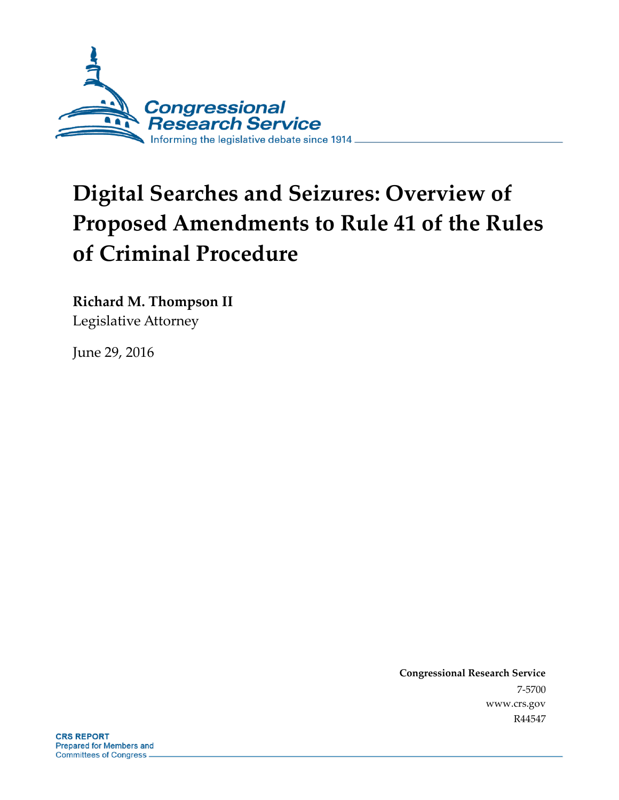

# **Digital Searches and Seizures: Overview of Proposed Amendments to Rule 41 of the Rules of Criminal Procedure**

**Richard M. Thompson II** Legislative Attorney

June 29, 2016

**Congressional Research Service** 7-5700 www.crs.gov R44547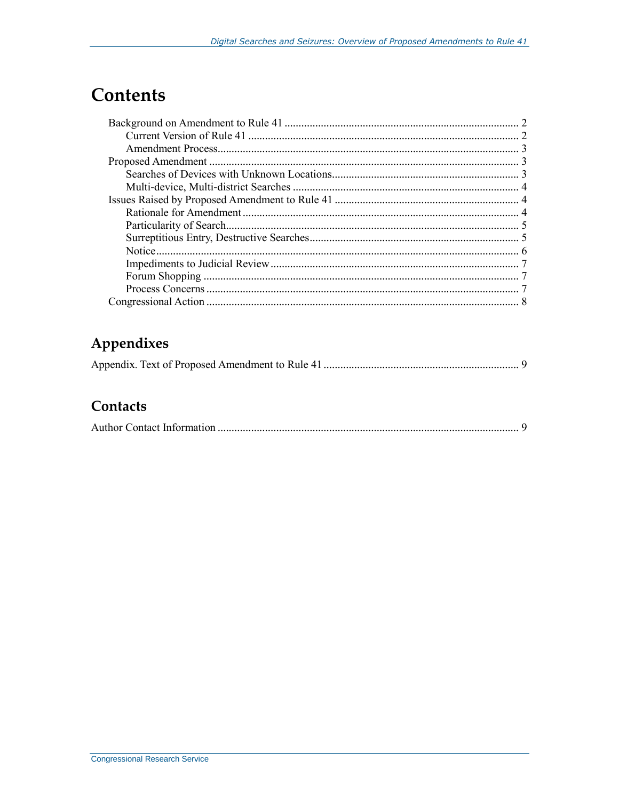# **Contents**

# Appendixes

|--|--|--|--|

## Contacts

|--|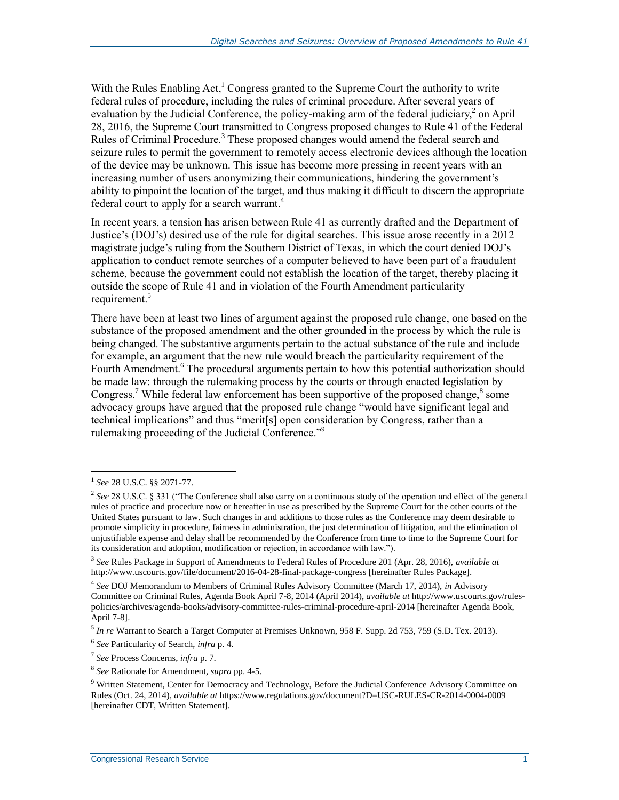With the Rules Enabling  $Act<sub>1</sub><sup>1</sup> Congress granted to the Supreme Court the authority to write$ federal rules of procedure, including the rules of criminal procedure. After several years of evaluation by the Judicial Conference, the policy-making arm of the federal judiciary, $^2$  on April 28, 2016, the Supreme Court transmitted to Congress proposed changes to Rule 41 of the Federal Rules of Criminal Procedure.<sup>3</sup> These proposed changes would amend the federal search and seizure rules to permit the government to remotely access electronic devices although the location of the device may be unknown. This issue has become more pressing in recent years with an increasing number of users anonymizing their communications, hindering the government's ability to pinpoint the location of the target, and thus making it difficult to discern the appropriate federal court to apply for a search warrant.<sup>4</sup>

In recent years, a tension has arisen between Rule 41 as currently drafted and the Department of Justice's (DOJ's) desired use of the rule for digital searches. This issue arose recently in a 2012 magistrate judge's ruling from the Southern District of Texas, in which the court denied DOJ's application to conduct remote searches of a computer believed to have been part of a fraudulent scheme, because the government could not establish the location of the target, thereby placing it outside the scope of Rule 41 and in violation of the Fourth Amendment particularity requirement.<sup>5</sup>

There have been at least two lines of argument against the proposed rule change, one based on the substance of the proposed amendment and the other grounded in the process by which the rule is being changed. The substantive arguments pertain to the actual substance of the rule and include for example, an argument that the new rule would breach the particularity requirement of the Fourth Amendment.<sup>6</sup> The procedural arguments pertain to how this potential authorization should be made law: through the rulemaking process by the courts or through enacted legislation by Congress.<sup>7</sup> While federal law enforcement has been supportive of the proposed change,<sup>8</sup> some advocacy groups have argued that the proposed rule change "would have significant legal and technical implications" and thus "merit[s] open consideration by Congress, rather than a rulemaking proceeding of the Judicial Conference."<sup>9</sup>

<sup>1</sup> *See* 28 U.S.C. §§ 2071-77.

<sup>2</sup> *See* 28 U.S.C. § 331 ("The Conference shall also carry on a continuous study of the operation and effect of the general rules of practice and procedure now or hereafter in use as prescribed by the Supreme Court for the other courts of the United States pursuant to law. Such changes in and additions to those rules as the Conference may deem desirable to promote simplicity in procedure, fairness in administration, the just determination of litigation, and the elimination of unjustifiable expense and delay shall be recommended by the Conference from time to time to the Supreme Court for its consideration and adoption, modification or rejection, in accordance with law.").

<sup>3</sup> *See* Rules Package in Support of Amendments to Federal Rules of Procedure 201 (Apr. 28, 2016), *available at*  http://www.uscourts.gov/file/document/2016-04-28-final-package-congress [hereinafter Rules Package].

<sup>4</sup> *See* DOJ Memorandum to Members of Criminal Rules Advisory Committee (March 17, 2014), *in* Advisory Committee on Criminal Rules, Agenda Book April 7-8, 2014 (April 2014), *available at* http://www.uscourts.gov/rulespolicies/archives/agenda-books/advisory-committee-rules-criminal-procedure-april-2014 [hereinafter Agenda Book, April 7-8].

<sup>5</sup> *In re* Warrant to Search a Target Computer at Premises Unknown, 958 F. Supp. 2d 753, 759 (S.D. Tex. 2013).

<sup>6</sup> *See* Particularity of Search, *infra* p. 4.

<sup>7</sup> *See* Process Concerns, *infra* p. 7.

<sup>8</sup> *See* Rationale for Amendment, *supra* pp. 4-5.

<sup>&</sup>lt;sup>9</sup> Written Statement, Center for Democracy and Technology, Before the Judicial Conference Advisory Committee on Rules (Oct. 24, 2014), *available at* https://www.regulations.gov/document?D=USC-RULES-CR-2014-0004-0009 [hereinafter CDT, Written Statement].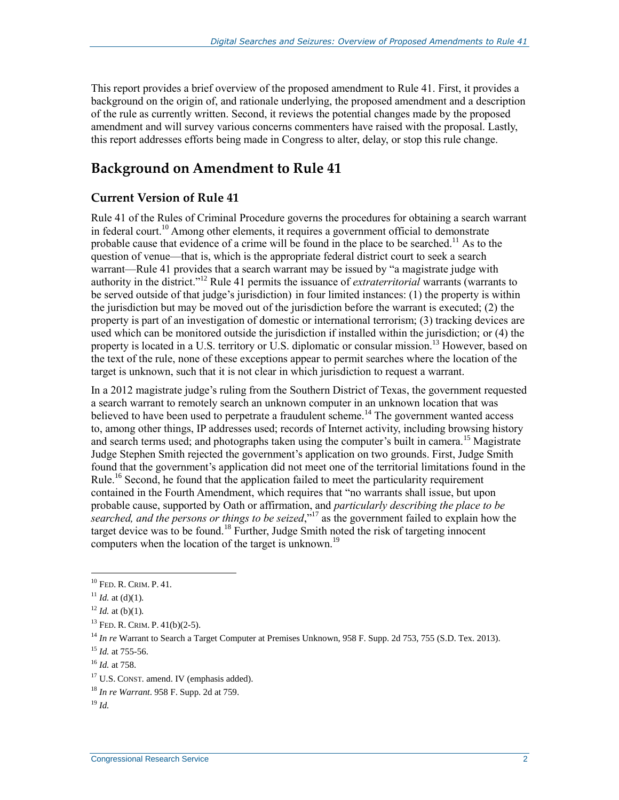This report provides a brief overview of the proposed amendment to Rule 41. First, it provides a background on the origin of, and rationale underlying, the proposed amendment and a description of the rule as currently written. Second, it reviews the potential changes made by the proposed amendment and will survey various concerns commenters have raised with the proposal. Lastly, this report addresses efforts being made in Congress to alter, delay, or stop this rule change.

# **Background on Amendment to Rule 41**

#### **Current Version of Rule 41**

Rule 41 of the Rules of Criminal Procedure governs the procedures for obtaining a search warrant in federal court.<sup>10</sup> Among other elements, it requires a government official to demonstrate probable cause that evidence of a crime will be found in the place to be searched.<sup>11</sup> As to the question of venue—that is, which is the appropriate federal district court to seek a search warrant—Rule 41 provides that a search warrant may be issued by "a magistrate judge with authority in the district."<sup>12</sup> Rule 41 permits the issuance of *extraterritorial* warrants (warrants to be served outside of that judge's jurisdiction) in four limited instances: (1) the property is within the jurisdiction but may be moved out of the jurisdiction before the warrant is executed; (2) the property is part of an investigation of domestic or international terrorism; (3) tracking devices are used which can be monitored outside the jurisdiction if installed within the jurisdiction; or (4) the property is located in a U.S. territory or U.S. diplomatic or consular mission.<sup>13</sup> However, based on the text of the rule, none of these exceptions appear to permit searches where the location of the target is unknown, such that it is not clear in which jurisdiction to request a warrant.

In a 2012 magistrate judge's ruling from the Southern District of Texas, the government requested a search warrant to remotely search an unknown computer in an unknown location that was believed to have been used to perpetrate a fraudulent scheme.<sup>14</sup> The government wanted access to, among other things, IP addresses used; records of Internet activity, including browsing history and search terms used; and photographs taken using the computer's built in camera.<sup>15</sup> Magistrate Judge Stephen Smith rejected the government's application on two grounds. First, Judge Smith found that the government's application did not meet one of the territorial limitations found in the Rule.<sup>16</sup> Second, he found that the application failed to meet the particularity requirement contained in the Fourth Amendment, which requires that "no warrants shall issue, but upon probable cause, supported by Oath or affirmation, and *particularly describing the place to be searched, and the persons or things to be seized*," <sup>17</sup> as the government failed to explain how the target device was to be found.<sup>18</sup> Further, Judge Smith noted the risk of targeting innocent computers when the location of the target is unknown.<sup>19</sup>

<sup>10</sup> FED. R. CRIM. P. 41.

 $11$  *Id.* at (d)(1).

 $12$  *Id.* at (b)(1).

<sup>13</sup> FED. R. CRIM. P. 41(b)(2-5).

<sup>14</sup> *In re* Warrant to Search a Target Computer at Premises Unknown, 958 F. Supp. 2d 753, 755 (S.D. Tex. 2013).

<sup>15</sup> *Id.* at 755-56.

<sup>16</sup> *Id.* at 758.

<sup>&</sup>lt;sup>17</sup> U.S. CONST. amend. IV (emphasis added).

<sup>18</sup> *In re Warrant*. 958 F. Supp. 2d at 759.

<sup>19</sup> *Id.*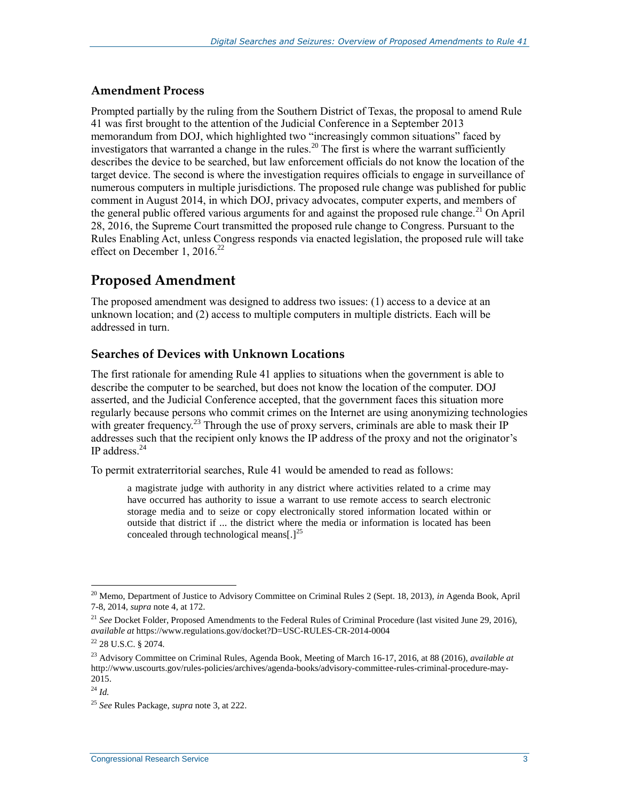#### **Amendment Process**

Prompted partially by the ruling from the Southern District of Texas, the proposal to amend Rule 41 was first brought to the attention of the Judicial Conference in a September 2013 memorandum from DOJ, which highlighted two "increasingly common situations" faced by investigators that warranted a change in the rules.<sup>20</sup> The first is where the warrant sufficiently describes the device to be searched, but law enforcement officials do not know the location of the target device. The second is where the investigation requires officials to engage in surveillance of numerous computers in multiple jurisdictions. The proposed rule change was published for public comment in August 2014, in which DOJ, privacy advocates, computer experts, and members of the general public offered various arguments for and against the proposed rule change.<sup>21</sup> On April 28, 2016, the Supreme Court transmitted the proposed rule change to Congress. Pursuant to the Rules Enabling Act, unless Congress responds via enacted legislation, the proposed rule will take effect on December 1, 2016.<sup>22</sup>

# **Proposed Amendment**

The proposed amendment was designed to address two issues: (1) access to a device at an unknown location; and (2) access to multiple computers in multiple districts. Each will be addressed in turn.

#### **Searches of Devices with Unknown Locations**

The first rationale for amending Rule 41 applies to situations when the government is able to describe the computer to be searched, but does not know the location of the computer. DOJ asserted, and the Judicial Conference accepted, that the government faces this situation more regularly because persons who commit crimes on the Internet are using anonymizing technologies with greater frequency.<sup>23</sup> Through the use of proxy servers, criminals are able to mask their IP addresses such that the recipient only knows the IP address of the proxy and not the originator's IP address.<sup>24</sup>

To permit extraterritorial searches, Rule 41 would be amended to read as follows:

a magistrate judge with authority in any district where activities related to a crime may have occurred has authority to issue a warrant to use remote access to search electronic storage media and to seize or copy electronically stored information located within or outside that district if ... the district where the media or information is located has been concealed through technological means[.]<sup>25</sup>

<sup>20</sup> Memo, Department of Justice to Advisory Committee on Criminal Rules 2 (Sept. 18, 2013), *in* Agenda Book, April 7-8, 2014, *supra* note 4, at 172.

<sup>&</sup>lt;sup>21</sup> *See* Docket Folder, Proposed Amendments to the Federal Rules of Criminal Procedure (last visited June 29, 2016), *available at* https://www.regulations.gov/docket?D=USC-RULES-CR-2014-0004

 $^{22}$  28 U.S.C. § 2074.

<sup>23</sup> Advisory Committee on Criminal Rules, Agenda Book, Meeting of March 16-17, 2016, at 88 (2016), *available at*  http://www.uscourts.gov/rules-policies/archives/agenda-books/advisory-committee-rules-criminal-procedure-may-2015.

<sup>24</sup> *Id.*

<sup>25</sup> *See* Rules Package, *supra* note 3, at 222.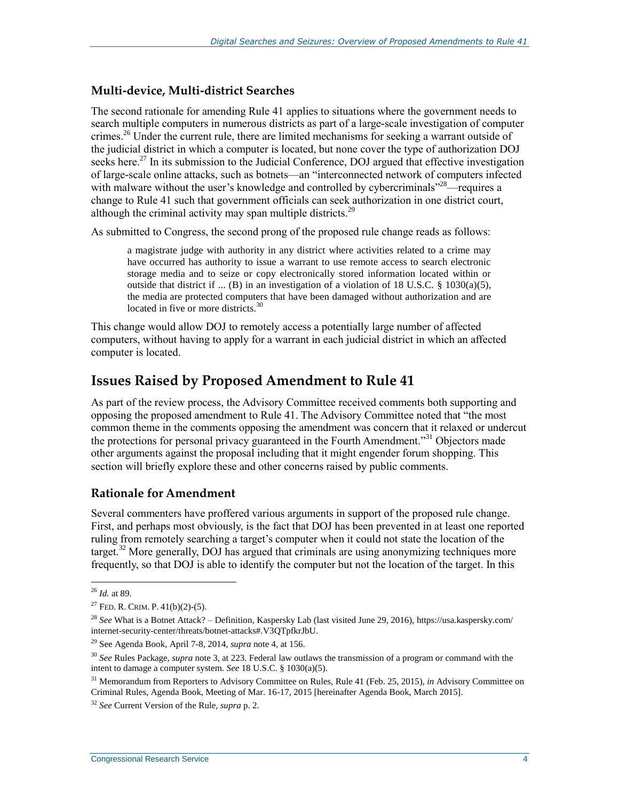#### **Multi-device, Multi-district Searches**

The second rationale for amending Rule 41 applies to situations where the government needs to search multiple computers in numerous districts as part of a large-scale investigation of computer crimes.<sup>26</sup> Under the current rule, there are limited mechanisms for seeking a warrant outside of the judicial district in which a computer is located, but none cover the type of authorization DOJ seeks here.<sup>27</sup> In its submission to the Judicial Conference, DOJ argued that effective investigation of large-scale online attacks, such as botnets—an "interconnected network of computers infected with malware without the user's knowledge and controlled by cybercriminals"<sup>28</sup>—requires a change to Rule 41 such that government officials can seek authorization in one district court, although the criminal activity may span multiple districts.<sup>29</sup>

As submitted to Congress, the second prong of the proposed rule change reads as follows:

a magistrate judge with authority in any district where activities related to a crime may have occurred has authority to issue a warrant to use remote access to search electronic storage media and to seize or copy electronically stored information located within or outside that district if ... (B) in an investigation of a violation of 18 U.S.C.  $\S$  1030(a)(5), the media are protected computers that have been damaged without authorization and are located in five or more districts.<sup>30</sup>

This change would allow DOJ to remotely access a potentially large number of affected computers, without having to apply for a warrant in each judicial district in which an affected computer is located.

### **Issues Raised by Proposed Amendment to Rule 41**

As part of the review process, the Advisory Committee received comments both supporting and opposing the proposed amendment to Rule 41. The Advisory Committee noted that "the most common theme in the comments opposing the amendment was concern that it relaxed or undercut the protections for personal privacy guaranteed in the Fourth Amendment.<sup>331</sup> Objectors made other arguments against the proposal including that it might engender forum shopping. This section will briefly explore these and other concerns raised by public comments.

#### **Rationale for Amendment**

Several commenters have proffered various arguments in support of the proposed rule change. First, and perhaps most obviously, is the fact that DOJ has been prevented in at least one reported ruling from remotely searching a target's computer when it could not state the location of the target.<sup>32</sup> More generally, DOJ has argued that criminals are using anonymizing techniques more frequently, so that DOJ is able to identify the computer but not the location of the target. In this

 $\overline{a}$ <sup>26</sup> *Id.* at 89.

<sup>&</sup>lt;sup>27</sup> FED. R. CRIM. P.  $41(b)(2)-(5)$ .

<sup>28</sup> *See* What is a Botnet Attack? – Definition, Kaspersky Lab (last visited June 29, 2016), https://usa.kaspersky.com/ internet-security-center/threats/botnet-attacks#.V3QTpfkrJbU.

<sup>29</sup> See Agenda Book, April 7-8, 2014, *supra* note 4, at 156.

<sup>30</sup> *See* Rules Package, *supra* note 3, at 223. Federal law outlaws the transmission of a program or command with the intent to damage a computer system. *See* 18 U.S.C. § 1030(a)(5).

<sup>31</sup> Memorandum from Reporters to Advisory Committee on Rules, Rule 41 (Feb. 25, 2015), *in* Advisory Committee on Criminal Rules, Agenda Book, Meeting of Mar. 16-17, 2015 [hereinafter Agenda Book, March 2015].

<sup>32</sup> *See* Current Version of the Rule, *supra* p. 2.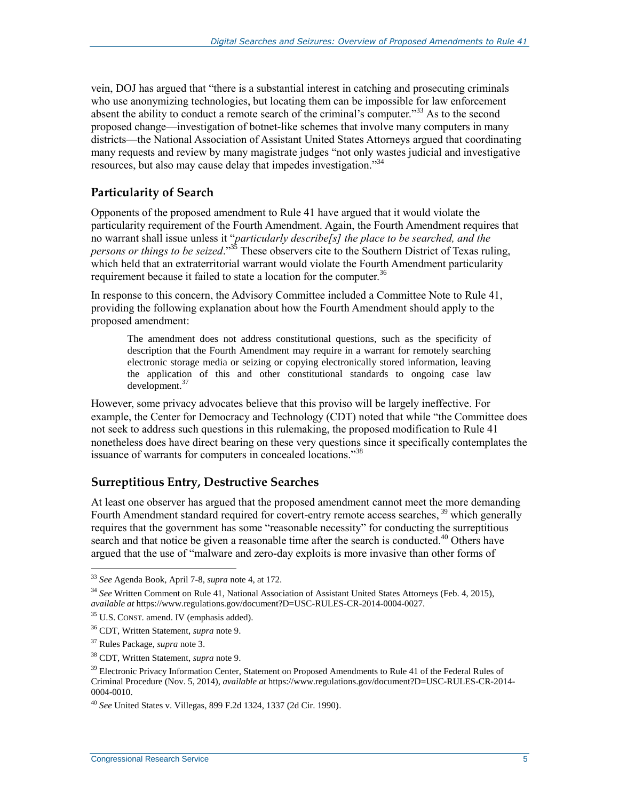vein, DOJ has argued that "there is a substantial interest in catching and prosecuting criminals who use anonymizing technologies, but locating them can be impossible for law enforcement absent the ability to conduct a remote search of the criminal's computer.<sup>33</sup> As to the second proposed change—investigation of botnet-like schemes that involve many computers in many districts—the National Association of Assistant United States Attorneys argued that coordinating many requests and review by many magistrate judges "not only wastes judicial and investigative resources, but also may cause delay that impedes investigation."<sup>34</sup>

#### **Particularity of Search**

Opponents of the proposed amendment to Rule 41 have argued that it would violate the particularity requirement of the Fourth Amendment. Again, the Fourth Amendment requires that no warrant shall issue unless it "*particularly describe[s] the place to be searched, and the persons or things to be seized*." <sup>35</sup> These observers cite to the Southern District of Texas ruling, which held that an extraterritorial warrant would violate the Fourth Amendment particularity requirement because it failed to state a location for the computer.<sup>36</sup>

In response to this concern, the Advisory Committee included a Committee Note to Rule 41, providing the following explanation about how the Fourth Amendment should apply to the proposed amendment:

The amendment does not address constitutional questions, such as the specificity of description that the Fourth Amendment may require in a warrant for remotely searching electronic storage media or seizing or copying electronically stored information, leaving the application of this and other constitutional standards to ongoing case law development.<sup>37</sup>

However, some privacy advocates believe that this proviso will be largely ineffective. For example, the Center for Democracy and Technology (CDT) noted that while "the Committee does not seek to address such questions in this rulemaking, the proposed modification to Rule 41 nonetheless does have direct bearing on these very questions since it specifically contemplates the issuance of warrants for computers in concealed locations."<sup>38</sup>

#### **Surreptitious Entry, Destructive Searches**

At least one observer has argued that the proposed amendment cannot meet the more demanding Fourth Amendment standard required for covert-entry remote access searches, <sup>39</sup> which generally requires that the government has some "reasonable necessity" for conducting the surreptitious search and that notice be given a reasonable time after the search is conducted.<sup>40</sup> Others have argued that the use of "malware and zero-day exploits is more invasive than other forms of

<sup>33</sup> *See* Agenda Book, April 7-8, *supra* note 4, at 172.

<sup>34</sup> *See* Written Comment on Rule 41, National Association of Assistant United States Attorneys (Feb. 4, 2015), *available at* https://www.regulations.gov/document?D=USC-RULES-CR-2014-0004-0027.

<sup>&</sup>lt;sup>35</sup> U.S. CONST. amend. IV (emphasis added).

<sup>36</sup> CDT, Written Statement, *supra* note 9.

<sup>37</sup> Rules Package, *supra* note 3.

<sup>38</sup> CDT, Written Statement, *supra* note 9.

<sup>&</sup>lt;sup>39</sup> Electronic Privacy Information Center, Statement on Proposed Amendments to Rule 41 of the Federal Rules of Criminal Procedure (Nov. 5, 2014), *available at* https://www.regulations.gov/document?D=USC-RULES-CR-2014- 0004-0010.

<sup>40</sup> *See* United States v. Villegas, 899 F.2d 1324, 1337 (2d Cir. 1990).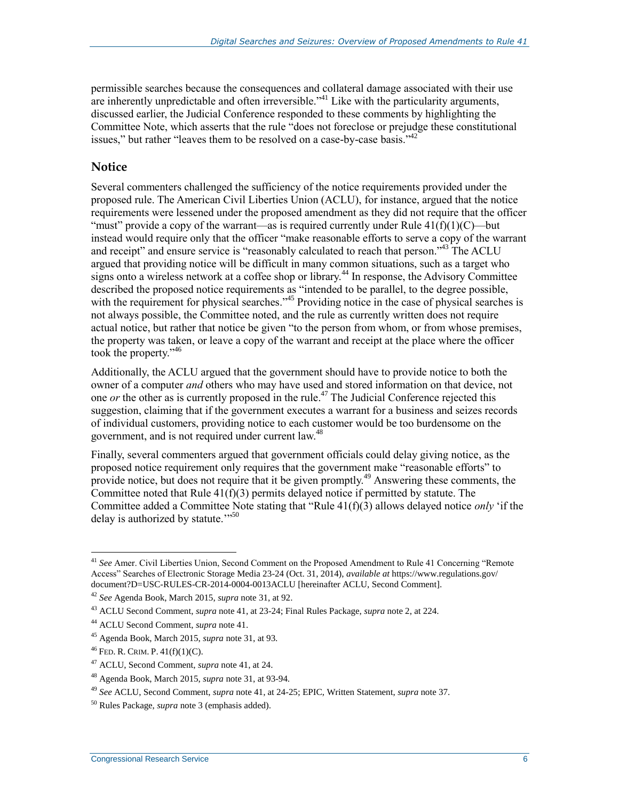permissible searches because the consequences and collateral damage associated with their use are inherently unpredictable and often irreversible.<sup> $341$ </sup> Like with the particularity arguments, discussed earlier, the Judicial Conference responded to these comments by highlighting the Committee Note, which asserts that the rule "does not foreclose or prejudge these constitutional issues," but rather "leaves them to be resolved on a case-by-case basis."<sup>42</sup>

#### **Notice**

Several commenters challenged the sufficiency of the notice requirements provided under the proposed rule. The American Civil Liberties Union (ACLU), for instance, argued that the notice requirements were lessened under the proposed amendment as they did not require that the officer "must" provide a copy of the warrant—as is required currently under Rule  $41(f)(1)(C)$ —but instead would require only that the officer "make reasonable efforts to serve a copy of the warrant and receipt" and ensure service is "reasonably calculated to reach that person."<sup>43</sup> The ACLU argued that providing notice will be difficult in many common situations, such as a target who signs onto a wireless network at a coffee shop or library.<sup>44</sup> In response, the Advisory Committee described the proposed notice requirements as "intended to be parallel, to the degree possible, with the requirement for physical searches."<sup>45</sup> Providing notice in the case of physical searches is not always possible, the Committee noted, and the rule as currently written does not require actual notice, but rather that notice be given "to the person from whom, or from whose premises, the property was taken, or leave a copy of the warrant and receipt at the place where the officer took the property."<sup>46</sup>

Additionally, the ACLU argued that the government should have to provide notice to both the owner of a computer *and* others who may have used and stored information on that device, not one *or* the other as is currently proposed in the rule. <sup>47</sup> The Judicial Conference rejected this suggestion, claiming that if the government executes a warrant for a business and seizes records of individual customers, providing notice to each customer would be too burdensome on the government, and is not required under current law.<sup>48</sup>

Finally, several commenters argued that government officials could delay giving notice, as the proposed notice requirement only requires that the government make "reasonable efforts" to provide notice, but does not require that it be given promptly.<sup>49</sup> Answering these comments, the Committee noted that Rule  $41(f)(3)$  permits delayed notice if permitted by statute. The Committee added a Committee Note stating that "Rule 41(f)(3) allows delayed notice *only* 'if the delay is authorized by statute. $\cdots$ <sup>50</sup>

<sup>41</sup> *See* Amer. Civil Liberties Union, Second Comment on the Proposed Amendment to Rule 41 Concerning "Remote Access" Searches of Electronic Storage Media 23-24 (Oct. 31, 2014), *available at* https://www.regulations.gov/ document?D=USC-RULES-CR-2014-0004-0013ACLU [hereinafter ACLU, Second Comment].

<sup>42</sup> *See* Agenda Book, March 2015, *supra* note 31, at 92.

<sup>43</sup> ACLU Second Comment, *supra* note 41, at 23-24; Final Rules Package, *supra* note 2, at 224.

<sup>44</sup> ACLU Second Comment, *supra* note 41.

<sup>45</sup> Agenda Book, March 2015, *supra* note 31, at 93.

 $^{46}$  FED. R. CRIM. P.  $41(f)(1)(C)$ .

<sup>47</sup> ACLU, Second Comment, *supra* note 41, at 24.

<sup>48</sup> Agenda Book, March 2015, *supra* note 31, at 93-94.

<sup>49</sup> *See* ACLU, Second Comment, *supra* note 41, at 24-25; EPIC, Written Statement, *supra* note 37.

<sup>50</sup> Rules Package, *supra* note 3 (emphasis added).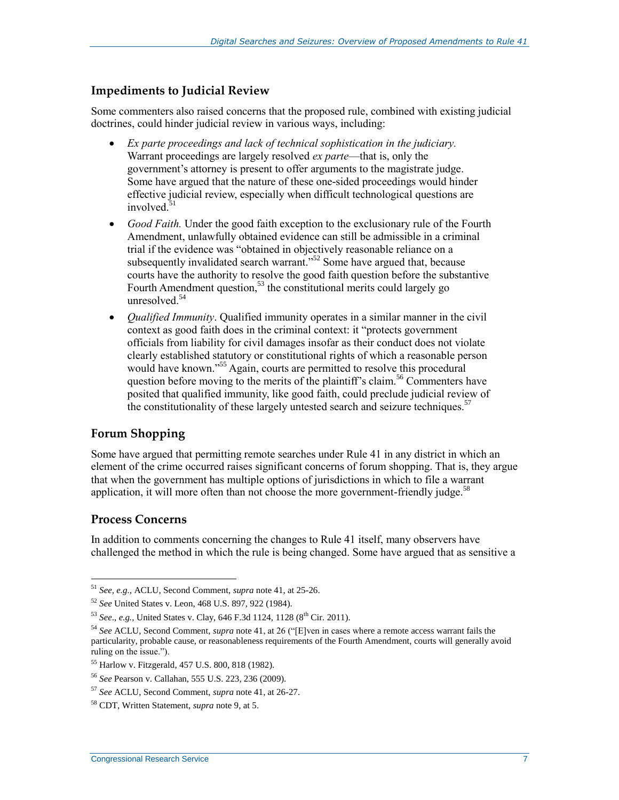#### **Impediments to Judicial Review**

Some commenters also raised concerns that the proposed rule, combined with existing judicial doctrines, could hinder judicial review in various ways, including:

- *Ex parte proceedings and lack of technical sophistication in the judiciary.*  Warrant proceedings are largely resolved *ex parte*—that is, only the government's attorney is present to offer arguments to the magistrate judge. Some have argued that the nature of these one-sided proceedings would hinder effective judicial review, especially when difficult technological questions are involved. 51
- Good Faith. Under the good faith exception to the exclusionary rule of the Fourth Amendment, unlawfully obtained evidence can still be admissible in a criminal trial if the evidence was "obtained in objectively reasonable reliance on a subsequently invalidated search warrant."<sup>52</sup> Some have argued that, because courts have the authority to resolve the good faith question before the substantive Fourth Amendment question,<sup>53</sup> the constitutional merits could largely go unresolved.<sup>54</sup>
- *Qualified Immunity*. Qualified immunity operates in a similar manner in the civil context as good faith does in the criminal context: it "protects government officials from liability for civil damages insofar as their conduct does not violate clearly established statutory or constitutional rights of which a reasonable person would have known."<sup>55</sup> Again, courts are permitted to resolve this procedural question before moving to the merits of the plaintiff's claim.<sup>56</sup> Commenters have posited that qualified immunity, like good faith, could preclude judicial review of the constitutionality of these largely untested search and seizure techniques.<sup>57</sup>

#### **Forum Shopping**

Some have argued that permitting remote searches under Rule 41 in any district in which an element of the crime occurred raises significant concerns of forum shopping. That is, they argue that when the government has multiple options of jurisdictions in which to file a warrant application, it will more often than not choose the more government-friendly judge. $58$ 

#### **Process Concerns**

In addition to comments concerning the changes to Rule 41 itself, many observers have challenged the method in which the rule is being changed. Some have argued that as sensitive a

 $\overline{a}$ <sup>51</sup> *See, e.g.*, ACLU, Second Comment, *supra* note 41, at 25-26.

<sup>52</sup> *See* United States v. Leon, 468 U.S. 897, 922 (1984).

<sup>53</sup> *See*., *e.g.*, United States v. Clay, 646 F.3d 1124, 1128 (8th Cir. 2011).

<sup>54</sup> *See* ACLU, Second Comment, *supra* note 41, at 26 ("[E]ven in cases where a remote access warrant fails the particularity, probable cause, or reasonableness requirements of the Fourth Amendment, courts will generally avoid ruling on the issue.").

<sup>55</sup> Harlow v. Fitzgerald, 457 U.S. 800, 818 (1982).

<sup>56</sup> *See* Pearson v. Callahan, 555 U.S. 223, 236 (2009).

<sup>57</sup> *See* ACLU, Second Comment, *supra* note 41, at 26-27.

<sup>58</sup> CDT, Written Statement, *supra* note 9, at 5.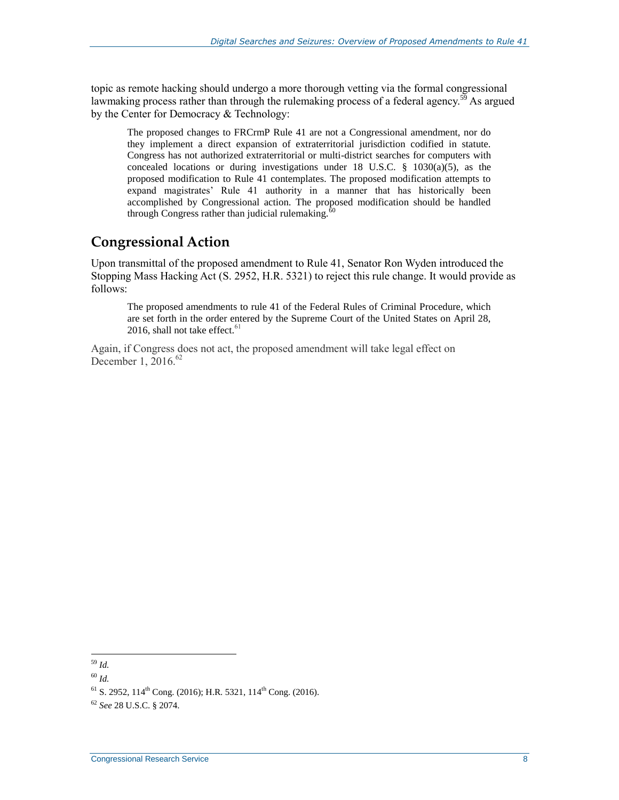topic as remote hacking should undergo a more thorough vetting via the formal congressional lawmaking process rather than through the rulemaking process of a federal agency.<sup>59</sup> As argued by the Center for Democracy & Technology:

The proposed changes to FRCrmP Rule 41 are not a Congressional amendment, nor do they implement a direct expansion of extraterritorial jurisdiction codified in statute. Congress has not authorized extraterritorial or multi-district searches for computers with concealed locations or during investigations under 18 U.S.C.  $\S$  1030(a)(5), as the proposed modification to Rule 41 contemplates. The proposed modification attempts to expand magistrates' Rule 41 authority in a manner that has historically been accomplished by Congressional action. The proposed modification should be handled through Congress rather than judicial rulemaking. $60$ 

## **Congressional Action**

Upon transmittal of the proposed amendment to Rule 41, Senator Ron Wyden introduced the Stopping Mass Hacking Act (S. 2952, [H.R. 5321\)](http://www.congress.gov/cgi-lis/bdquery/z?d114:H.R.5321:) to reject this rule change. It would provide as follows:

The proposed amendments to rule 41 of the Federal Rules of Criminal Procedure, which are set forth in the order entered by the Supreme Court of the United States on April 28, 2016, shall not take effect. $61$ 

Again, if Congress does not act, the proposed amendment will take legal effect on December 1, 2016. $62$ 

 $\overline{a}$ <sup>59</sup> *Id.*

<sup>60</sup> *Id.*

 $^{61}$  S. 2952, 114<sup>th</sup> Cong. (2016); H.R. 5321, 114<sup>th</sup> Cong. (2016).

<sup>62</sup> *See* 28 U.S.C. § 2074.